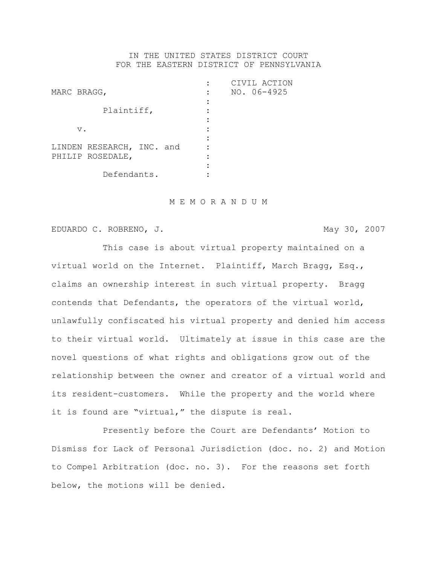## IN THE UNITED STATES DISTRICT COURT FOR THE EASTERN DISTRICT OF PENNSYLVANIA

| MARC BRAGG,                                   | CIVIL ACTION<br>$NO. 06-4925$ |
|-----------------------------------------------|-------------------------------|
| Plaintiff,                                    |                               |
| $V$ .                                         |                               |
| LINDEN RESEARCH, INC. and<br>PHILIP ROSEDALE, |                               |
| Defendants.                                   |                               |

#### M E M O R A N D U M

EDUARDO C. ROBRENO, J. May 30, 2007

This case is about virtual property maintained on a virtual world on the Internet. Plaintiff, March Bragg, Esq., claims an ownership interest in such virtual property. Bragg contends that Defendants, the operators of the virtual world, unlawfully confiscated his virtual property and denied him access to their virtual world. Ultimately at issue in this case are the novel questions of what rights and obligations grow out of the relationship between the owner and creator of a virtual world and its resident-customers. While the property and the world where it is found are "virtual," the dispute is real.

Presently before the Court are Defendants' Motion to Dismiss for Lack of Personal Jurisdiction (doc. no. 2) and Motion to Compel Arbitration (doc. no. 3). For the reasons set forth below, the motions will be denied.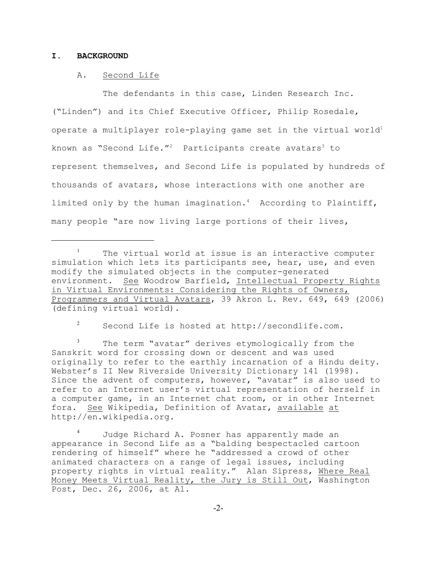### **I. BACKGROUND**

#### A. Second Life

The defendants in this case, Linden Research Inc. ("Linden") and its Chief Executive Officer, Philip Rosedale, operate a multiplayer role-playing game set in the virtual world<sup>1</sup> known as "Second Life."<sup>2</sup> Participants create avatars<sup>3</sup> to represent themselves, and Second Life is populated by hundreds of thousands of avatars, whose interactions with one another are limited only by the human imagination.<sup>4</sup> According to Plaintiff, many people "are now living large portions of their lives,

 $\frac{1}{2}$  Second Life is hosted at http://secondlife.com.

The term "avatar" derives etymologically from the Sanskrit word for crossing down or descent and was used originally to refer to the earthly incarnation of a Hindu deity. Webster's II New Riverside University Dictionary 141 (1998). Since the advent of computers, however, "avatar" is also used to refer to an Internet user's virtual representation of herself in a computer game, in an Internet chat room, or in other Internet fora. See Wikipedia, Definition of Avatar, available at http://en.wikipedia.org.

Judge Richard A. Posner has apparently made an appearance in Second Life as a "balding bespectacled cartoon rendering of himself" where he "addressed a crowd of other animated characters on a range of legal issues, including property rights in virtual reality." Alan Sipress, Where Real Money Meets Virtual Reality, the Jury is Still Out, Washington Post, Dec. 26, 2006, at A1.

 $1$  The virtual world at issue is an interactive computer simulation which lets its participants see, hear, use, and even modify the simulated objects in the computer-generated environment. See Woodrow Barfield, Intellectual Property Rights in Virtual Environments: Considering the Rights of Owners, Programmers and Virtual Avatars, 39 Akron L. Rev. 649, 649 (2006) (defining virtual world).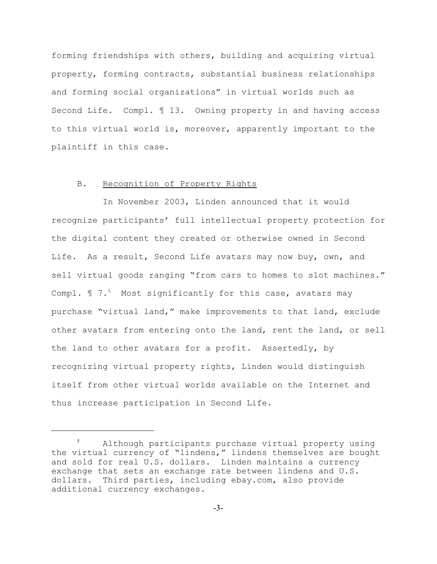forming friendships with others, building and acquiring virtual property, forming contracts, substantial business relationships and forming social organizations" in virtual worlds such as Second Life. Compl. ¶ 13. Owning property in and having access to this virtual world is, moreover, apparently important to the plaintiff in this case.

### B. Recognition of Property Rights

In November 2003, Linden announced that it would recognize participants' full intellectual property protection for the digital content they created or otherwise owned in Second Life. As a result, Second Life avatars may now buy, own, and sell virtual goods ranging "from cars to homes to slot machines." Compl.  $\mathbb{I}$  7.<sup>5</sup> Most significantly for this case, avatars may purchase "virtual land," make improvements to that land, exclude other avatars from entering onto the land, rent the land, or sell the land to other avatars for a profit. Assertedly, by recognizing virtual property rights, Linden would distinguish itself from other virtual worlds available on the Internet and thus increase participation in Second Life.

<sup>&</sup>lt;sup>5</sup> Although participants purchase virtual property using the virtual currency of "lindens," lindens themselves are bought and sold for real U.S. dollars. Linden maintains a currency exchange that sets an exchange rate between lindens and U.S. dollars. Third parties, including ebay.com, also provide additional currency exchanges.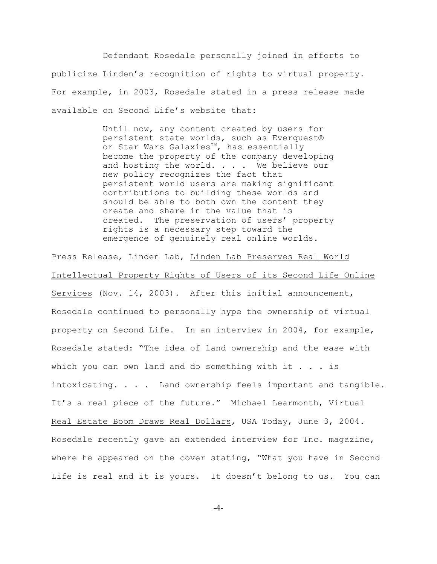Defendant Rosedale personally joined in efforts to publicize Linden's recognition of rights to virtual property. For example, in 2003, Rosedale stated in a press release made available on Second Life's website that:

> Until now, any content created by users for persistent state worlds, such as Everquest® or Star Wars Galaxies<sup>m</sup>, has essentially become the property of the company developing and hosting the world. . . . We believe our new policy recognizes the fact that persistent world users are making significant contributions to building these worlds and should be able to both own the content they create and share in the value that is created. The preservation of users' property rights is a necessary step toward the emergence of genuinely real online worlds.

Press Release, Linden Lab, Linden Lab Preserves Real World Intellectual Property Rights of Users of its Second Life Online Services (Nov. 14, 2003). After this initial announcement, Rosedale continued to personally hype the ownership of virtual property on Second Life. In an interview in 2004, for example, Rosedale stated: "The idea of land ownership and the ease with which you can own land and do something with it  $\ldots$  is intoxicating. . . . Land ownership feels important and tangible. It's a real piece of the future." Michael Learmonth, Virtual Real Estate Boom Draws Real Dollars, USA Today, June 3, 2004. Rosedale recently gave an extended interview for Inc. magazine, where he appeared on the cover stating, "What you have in Second Life is real and it is yours. It doesn't belong to us. You can

-4-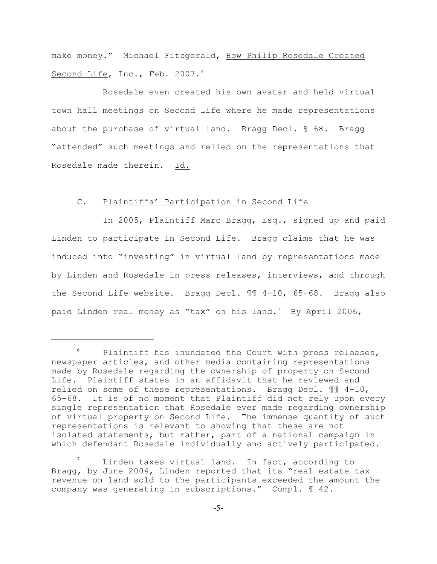make money." Michael Fitzgerald, How Philip Rosedale Created Second Life, Inc., Feb. 2007.<sup>6</sup>

Rosedale even created his own avatar and held virtual town hall meetings on Second Life where he made representations about the purchase of virtual land. Bragg Decl. ¶ 68. Bragg "attended" such meetings and relied on the representations that Rosedale made therein. Id.

#### C. Plaintiffs' Participation in Second Life

In 2005, Plaintiff Marc Bragg, Esq., signed up and paid Linden to participate in Second Life. Bragg claims that he was induced into "investing" in virtual land by representations made by Linden and Rosedale in press releases, interviews, and through the Second Life website. Bragg Decl. ¶¶ 4-10, 65-68. Bragg also paid Linden real money as "tax" on his land.<sup>7</sup> By April 2006,

Linden taxes virtual land. In fact, according to Bragg, by June 2004, Linden reported that its "real estate tax revenue on land sold to the participants exceeded the amount the company was generating in subscriptions." Compl. ¶ 42.

 $6$  Plaintiff has inundated the Court with press releases, newspaper articles, and other media containing representations made by Rosedale regarding the ownership of property on Second Life. Plaintiff states in an affidavit that he reviewed and relied on some of these representations. Bragg Decl. ¶¶ 4-10, 65-68. It is of no moment that Plaintiff did not rely upon every single representation that Rosedale ever made regarding ownership of virtual property on Second Life. The immense quantity of such representations is relevant to showing that these are not isolated statements, but rather, part of a national campaign in which defendant Rosedale individually and actively participated.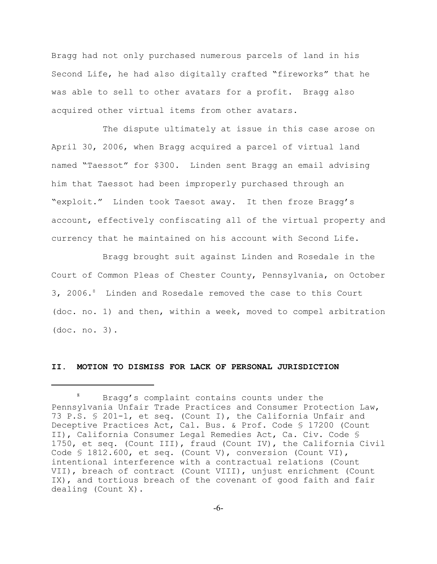Bragg had not only purchased numerous parcels of land in his Second Life, he had also digitally crafted "fireworks" that he was able to sell to other avatars for a profit. Bragg also acquired other virtual items from other avatars.

The dispute ultimately at issue in this case arose on April 30, 2006, when Bragg acquired a parcel of virtual land named "Taessot" for \$300. Linden sent Bragg an email advising him that Taessot had been improperly purchased through an "exploit." Linden took Taesot away. It then froze Bragg's account, effectively confiscating all of the virtual property and currency that he maintained on his account with Second Life.

Bragg brought suit against Linden and Rosedale in the Court of Common Pleas of Chester County, Pennsylvania, on October 3, 2006.<sup>8</sup> Linden and Rosedale removed the case to this Court (doc. no. 1) and then, within a week, moved to compel arbitration (doc. no. 3).

#### **II. MOTION TO DISMISS FOR LACK OF PERSONAL JURISDICTION**

 $8$  Bragg's complaint contains counts under the Pennsylvania Unfair Trade Practices and Consumer Protection Law, 73 P.S. § 201-1, et seq. (Count I), the California Unfair and Deceptive Practices Act, Cal. Bus. & Prof. Code § 17200 (Count II), California Consumer Legal Remedies Act, Ca. Civ. Code § 1750, et seq. (Count III), fraud (Count IV), the California Civil Code § 1812.600, et seq. (Count V), conversion (Count VI), intentional interference with a contractual relations (Count VII), breach of contract (Count VIII), unjust enrichment (Count IX), and tortious breach of the covenant of good faith and fair dealing (Count X).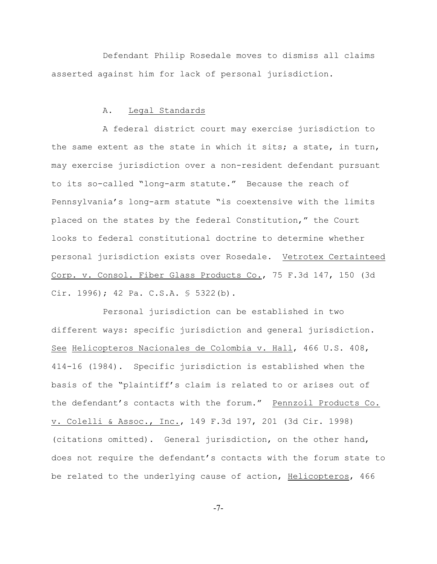Defendant Philip Rosedale moves to dismiss all claims asserted against him for lack of personal jurisdiction.

#### A. Legal Standards

A federal district court may exercise jurisdiction to the same extent as the state in which it sits; a state, in turn, may exercise jurisdiction over a non-resident defendant pursuant to its so-called "long-arm statute." Because the reach of Pennsylvania's long-arm statute "is coextensive with the limits placed on the states by the federal Constitution," the Court looks to federal constitutional doctrine to determine whether personal jurisdiction exists over Rosedale. Vetrotex Certainteed Corp. v. Consol. Fiber Glass Products Co., 75 F.3d 147, 150 (3d Cir. 1996); 42 Pa. C.S.A. § 5322(b).

Personal jurisdiction can be established in two different ways: specific jurisdiction and general jurisdiction. See Helicopteros Nacionales de Colombia v. Hall, 466 U.S. 408, 414-16 (1984). Specific jurisdiction is established when the basis of the "plaintiff's claim is related to or arises out of the defendant's contacts with the forum." Pennzoil Products Co. v. Colelli & Assoc., Inc., 149 F.3d 197, 201 (3d Cir. 1998) (citations omitted). General jurisdiction, on the other hand, does not require the defendant's contacts with the forum state to be related to the underlying cause of action, Helicopteros, 466

-7-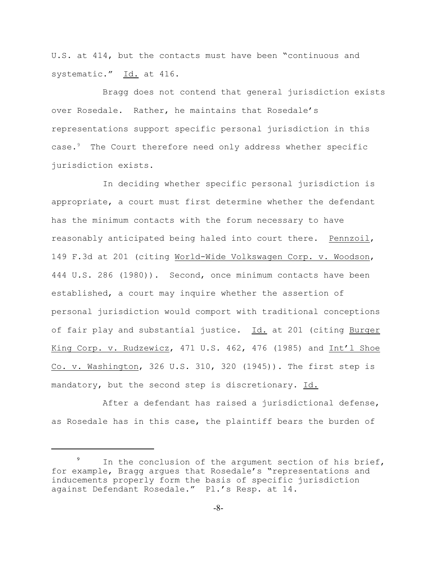U.S. at 414, but the contacts must have been "continuous and systematic." Id. at 416.

Bragg does not contend that general jurisdiction exists over Rosedale. Rather, he maintains that Rosedale's representations support specific personal jurisdiction in this case.<sup>9</sup> The Court therefore need only address whether specific jurisdiction exists.

In deciding whether specific personal jurisdiction is appropriate, a court must first determine whether the defendant has the minimum contacts with the forum necessary to have reasonably anticipated being haled into court there. Pennzoil, 149 F.3d at 201 (citing World-Wide Volkswagen Corp. v. Woodson, 444 U.S. 286 (1980)). Second, once minimum contacts have been established, a court may inquire whether the assertion of personal jurisdiction would comport with traditional conceptions of fair play and substantial justice. Id. at 201 (citing Burger King Corp. v. Rudzewicz, 471 U.S. 462, 476 (1985) and Int'l Shoe Co. v. Washington, 326 U.S. 310, 320 (1945)). The first step is mandatory, but the second step is discretionary. Id.

After a defendant has raised a jurisdictional defense, as Rosedale has in this case, the plaintiff bears the burden of

<sup>&</sup>lt;sup>9</sup> In the conclusion of the argument section of his brief, for example, Bragg argues that Rosedale's "representations and inducements properly form the basis of specific jurisdiction against Defendant Rosedale." Pl.'s Resp. at 14.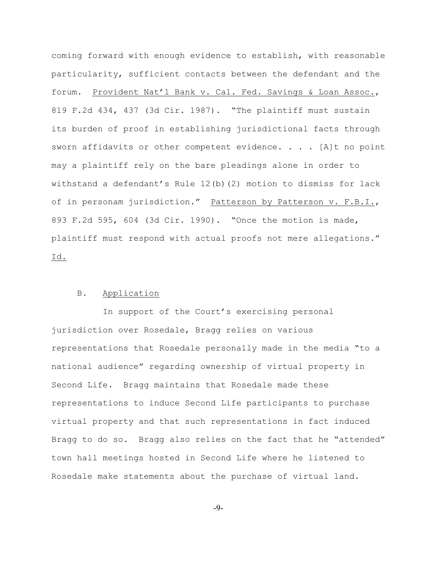coming forward with enough evidence to establish, with reasonable particularity, sufficient contacts between the defendant and the forum. Provident Nat'l Bank v. Cal. Fed. Savings & Loan Assoc., 819 F.2d 434, 437 (3d Cir. 1987). "The plaintiff must sustain its burden of proof in establishing jurisdictional facts through sworn affidavits or other competent evidence.  $\ldots$  . [A]t no point may a plaintiff rely on the bare pleadings alone in order to withstand a defendant's Rule  $12(b)(2)$  motion to dismiss for lack of in personam jurisdiction." Patterson by Patterson v. F.B.I., 893 F.2d 595, 604 (3d Cir. 1990). "Once the motion is made, plaintiff must respond with actual proofs not mere allegations." Id.

# B. Application

In support of the Court's exercising personal jurisdiction over Rosedale, Bragg relies on various representations that Rosedale personally made in the media "to a national audience" regarding ownership of virtual property in Second Life. Bragg maintains that Rosedale made these representations to induce Second Life participants to purchase virtual property and that such representations in fact induced Bragg to do so. Bragg also relies on the fact that he "attended" town hall meetings hosted in Second Life where he listened to Rosedale make statements about the purchase of virtual land.

-9-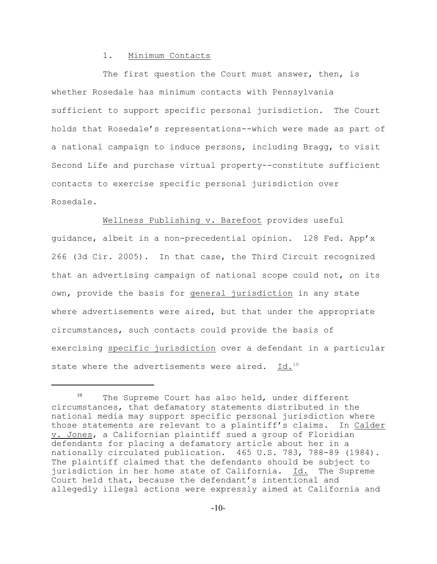### 1. Minimum Contacts

The first question the Court must answer, then, is whether Rosedale has minimum contacts with Pennsylvania sufficient to support specific personal jurisdiction. The Court holds that Rosedale's representations--which were made as part of a national campaign to induce persons, including Bragg, to visit Second Life and purchase virtual property--constitute sufficient contacts to exercise specific personal jurisdiction over Rosedale.

Wellness Publishing v. Barefoot provides useful guidance, albeit in a non-precedential opinion. 128 Fed. App'x 266 (3d Cir. 2005). In that case, the Third Circuit recognized that an advertising campaign of national scope could not, on its own, provide the basis for general jurisdiction in any state where advertisements were aired, but that under the appropriate circumstances, such contacts could provide the basis of exercising specific jurisdiction over a defendant in a particular state where the advertisements were aired. Id.<sup>10</sup>

 $10$  The Supreme Court has also held, under different circumstances, that defamatory statements distributed in the national media may support specific personal jurisdiction where those statements are relevant to a plaintiff's claims. In Calder v. Jones, a Californian plaintiff sued a group of Floridian defendants for placing a defamatory article about her in a nationally circulated publication. 465 U.S. 783, 788-89 (1984). The plaintiff claimed that the defendants should be subject to jurisdiction in her home state of California. Id. The Supreme Court held that, because the defendant's intentional and allegedly illegal actions were expressly aimed at California and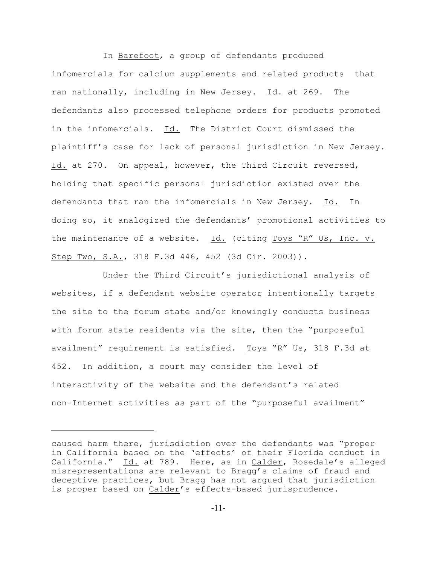In Barefoot, a group of defendants produced infomercials for calcium supplements and related products that ran nationally, including in New Jersey. Id. at 269. The defendants also processed telephone orders for products promoted in the infomercials. Id. The District Court dismissed the plaintiff's case for lack of personal jurisdiction in New Jersey. Id. at 270. On appeal, however, the Third Circuit reversed, holding that specific personal jurisdiction existed over the defendants that ran the infomercials in New Jersey. Id. In doing so, it analogized the defendants' promotional activities to the maintenance of a website. Id. (citing Toys "R" Us, Inc. v. Step Two, S.A., 318 F.3d 446, 452 (3d Cir. 2003)).

Under the Third Circuit's jurisdictional analysis of websites, if a defendant website operator intentionally targets the site to the forum state and/or knowingly conducts business with forum state residents via the site, then the "purposeful availment" requirement is satisfied. Toys "R" Us, 318 F.3d at 452. In addition, a court may consider the level of interactivity of the website and the defendant's related non-Internet activities as part of the "purposeful availment"

caused harm there, jurisdiction over the defendants was "proper in California based on the 'effects' of their Florida conduct in California." Id. at 789. Here, as in Calder, Rosedale's alleged misrepresentations are relevant to Bragg's claims of fraud and deceptive practices, but Bragg has not argued that jurisdiction is proper based on Calder's effects-based jurisprudence.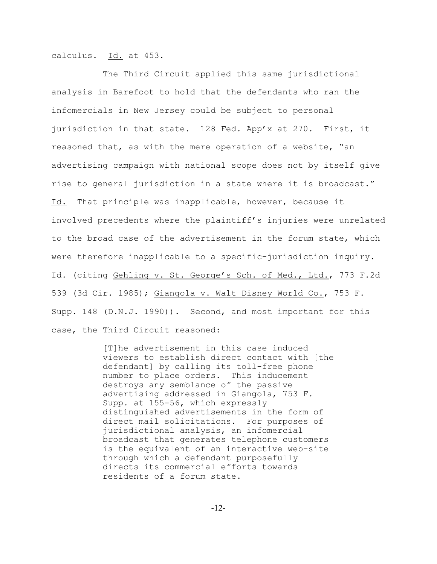calculus. Id. at 453.

The Third Circuit applied this same jurisdictional analysis in Barefoot to hold that the defendants who ran the infomercials in New Jersey could be subject to personal jurisdiction in that state. 128 Fed. App'x at 270. First, it reasoned that, as with the mere operation of a website, "an advertising campaign with national scope does not by itself give rise to general jurisdiction in a state where it is broadcast." Id. That principle was inapplicable, however, because it involved precedents where the plaintiff's injuries were unrelated to the broad case of the advertisement in the forum state, which were therefore inapplicable to a specific-jurisdiction inquiry. Id. (citing Gehling v. St. George's Sch. of Med., Ltd., 773 F.2d 539 (3d Cir. 1985); Giangola v. Walt Disney World Co., 753 F. Supp. 148 (D.N.J. 1990)). Second, and most important for this case, the Third Circuit reasoned:

> [T]he advertisement in this case induced viewers to establish direct contact with [the defendant] by calling its toll-free phone number to place orders. This inducement destroys any semblance of the passive advertising addressed in Giangola, 753 F. Supp. at 155-56, which expressly distinguished advertisements in the form of direct mail solicitations. For purposes of jurisdictional analysis, an infomercial broadcast that generates telephone customers is the equivalent of an interactive web-site through which a defendant purposefully directs its commercial efforts towards residents of a forum state.

> > -12-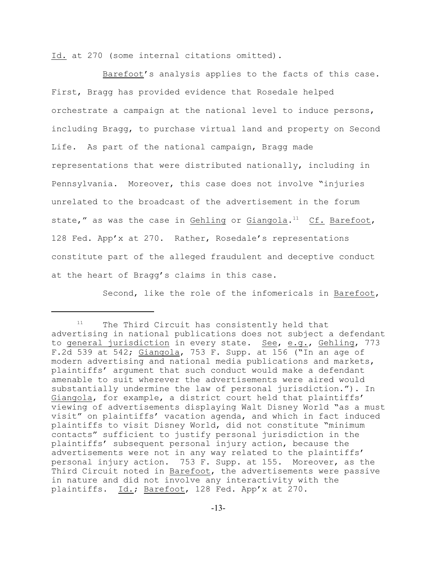Id. at 270 (some internal citations omitted).

Barefoot's analysis applies to the facts of this case. First, Bragg has provided evidence that Rosedale helped orchestrate a campaign at the national level to induce persons, including Bragg, to purchase virtual land and property on Second Life. As part of the national campaign, Bragg made representations that were distributed nationally, including in Pennsylvania. Moreover, this case does not involve "injuries unrelated to the broadcast of the advertisement in the forum state," as was the case in Gehling or Giangola. $^{11}$  Cf. Barefoot, 128 Fed. App'x at 270. Rather, Rosedale's representations constitute part of the alleged fraudulent and deceptive conduct at the heart of Bragg's claims in this case.

Second, like the role of the infomericals in Barefoot,

 $11$  The Third Circuit has consistently held that advertising in national publications does not subject a defendant to general jurisdiction in every state. See, e.g., Gehling, 773 F.2d 539 at 542; Giangola, 753 F. Supp. at 156 ("In an age of modern advertising and national media publications and markets, plaintiffs' argument that such conduct would make a defendant amenable to suit wherever the advertisements were aired would substantially undermine the law of personal jurisdiction."). In Giangola, for example, a district court held that plaintiffs' viewing of advertisements displaying Walt Disney World "as a must visit" on plaintiffs' vacation agenda, and which in fact induced plaintiffs to visit Disney World, did not constitute "minimum contacts" sufficient to justify personal jurisdiction in the plaintiffs' subsequent personal injury action, because the advertisements were not in any way related to the plaintiffs' personal injury action. 753 F. Supp. at 155. Moreover, as the Third Circuit noted in Barefoot, the advertisements were passive in nature and did not involve any interactivity with the plaintiffs. Id.; Barefoot, 128 Fed. App'x at 270.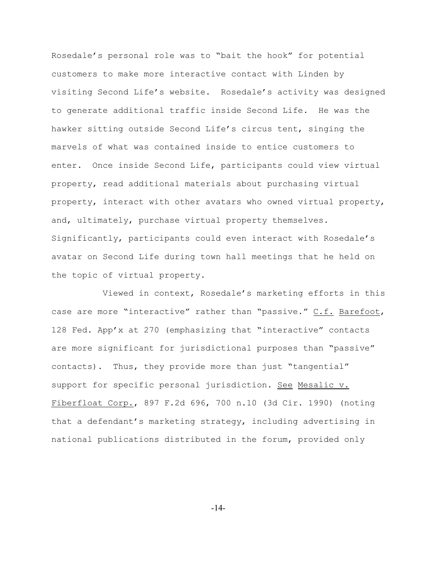Rosedale's personal role was to "bait the hook" for potential customers to make more interactive contact with Linden by visiting Second Life's website. Rosedale's activity was designed to generate additional traffic inside Second Life. He was the hawker sitting outside Second Life's circus tent, singing the marvels of what was contained inside to entice customers to enter. Once inside Second Life, participants could view virtual property, read additional materials about purchasing virtual property, interact with other avatars who owned virtual property, and, ultimately, purchase virtual property themselves. Significantly, participants could even interact with Rosedale's avatar on Second Life during town hall meetings that he held on the topic of virtual property.

Viewed in context, Rosedale's marketing efforts in this case are more "interactive" rather than "passive." C.f. Barefoot, 128 Fed. App'x at 270 (emphasizing that "interactive" contacts are more significant for jurisdictional purposes than "passive" contacts). Thus, they provide more than just "tangential" support for specific personal jurisdiction. See Mesalic v. Fiberfloat Corp., 897 F.2d 696, 700 n.10 (3d Cir. 1990) (noting that a defendant's marketing strategy, including advertising in national publications distributed in the forum, provided only

-14-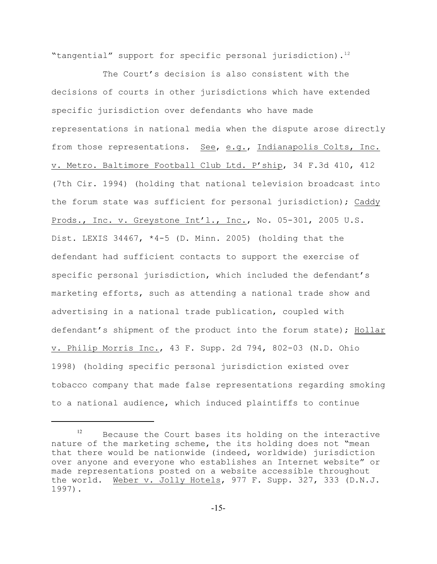"tangential" support for specific personal jurisdiction).<sup>12</sup>

The Court's decision is also consistent with the decisions of courts in other jurisdictions which have extended specific jurisdiction over defendants who have made representations in national media when the dispute arose directly from those representations. See, e.g., Indianapolis Colts, Inc. v. Metro. Baltimore Football Club Ltd. P'ship, 34 F.3d 410, 412 (7th Cir. 1994) (holding that national television broadcast into the forum state was sufficient for personal jurisdiction); Caddy Prods., Inc. v. Greystone Int'l., Inc., No. 05-301, 2005 U.S. Dist. LEXIS 34467, \*4-5 (D. Minn. 2005) (holding that the defendant had sufficient contacts to support the exercise of specific personal jurisdiction, which included the defendant's marketing efforts, such as attending a national trade show and advertising in a national trade publication, coupled with defendant's shipment of the product into the forum state); Hollar v. Philip Morris Inc., 43 F. Supp. 2d 794, 802-03 (N.D. Ohio 1998) (holding specific personal jurisdiction existed over tobacco company that made false representations regarding smoking to a national audience, which induced plaintiffs to continue

 $B$  Because the Court bases its holding on the interactive nature of the marketing scheme, the its holding does not "mean that there would be nationwide (indeed, worldwide) jurisdiction over anyone and everyone who establishes an Internet website" or made representations posted on a website accessible throughout the world. Weber v. Jolly Hotels, 977 F. Supp. 327, 333 (D.N.J. 1997).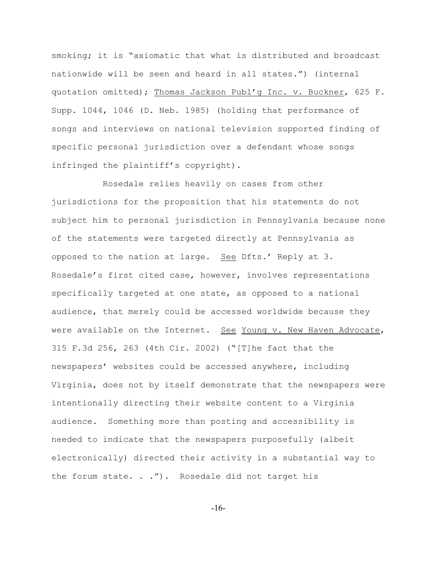smoking; it is "axiomatic that what is distributed and broadcast nationwide will be seen and heard in all states.") (internal quotation omitted); Thomas Jackson Publ'g Inc. v. Buckner, 625 F. Supp. 1044, 1046 (D. Neb. 1985) (holding that performance of songs and interviews on national television supported finding of specific personal jurisdiction over a defendant whose songs infringed the plaintiff's copyright).

Rosedale relies heavily on cases from other jurisdictions for the proposition that his statements do not subject him to personal jurisdiction in Pennsylvania because none of the statements were targeted directly at Pennsylvania as opposed to the nation at large. See Dfts.' Reply at 3. Rosedale's first cited case, however, involves representations specifically targeted at one state, as opposed to a national audience, that merely could be accessed worldwide because they were available on the Internet. See Young v. New Haven Advocate, 315 F.3d 256, 263 (4th Cir. 2002) ("[T]he fact that the newspapers' websites could be accessed anywhere, including Virginia, does not by itself demonstrate that the newspapers were intentionally directing their website content to a Virginia audience. Something more than posting and accessibility is needed to indicate that the newspapers purposefully (albeit electronically) directed their activity in a substantial way to the forum state. . ."). Rosedale did not target his

-16-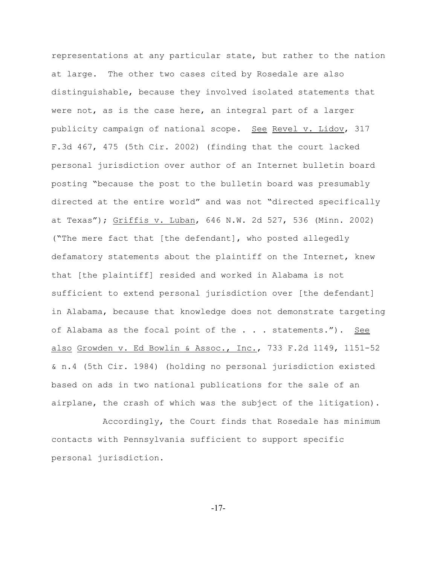representations at any particular state, but rather to the nation at large. The other two cases cited by Rosedale are also distinguishable, because they involved isolated statements that were not, as is the case here, an integral part of a larger publicity campaign of national scope. See Revel v. Lidov, 317 F.3d 467, 475 (5th Cir. 2002) (finding that the court lacked personal jurisdiction over author of an Internet bulletin board posting "because the post to the bulletin board was presumably directed at the entire world" and was not "directed specifically at Texas"); Griffis v. Luban, 646 N.W. 2d 527, 536 (Minn. 2002) ("The mere fact that [the defendant], who posted allegedly defamatory statements about the plaintiff on the Internet, knew that [the plaintiff] resided and worked in Alabama is not sufficient to extend personal jurisdiction over [the defendant] in Alabama, because that knowledge does not demonstrate targeting of Alabama as the focal point of the . . . statements."). See also Growden v. Ed Bowlin & Assoc., Inc., 733 F.2d 1149, 1151-52 & n.4 (5th Cir. 1984) (holding no personal jurisdiction existed based on ads in two national publications for the sale of an airplane, the crash of which was the subject of the litigation).

Accordingly, the Court finds that Rosedale has minimum contacts with Pennsylvania sufficient to support specific personal jurisdiction.

-17-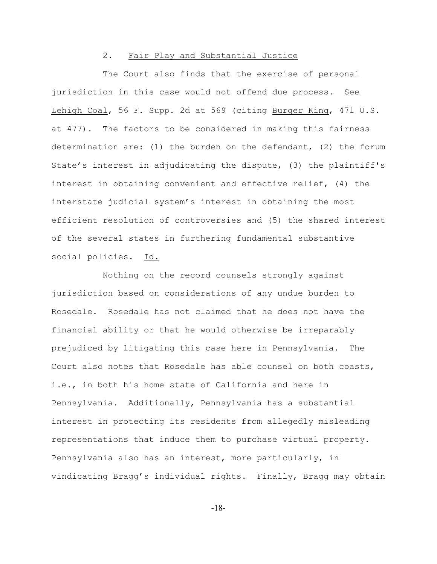#### 2. Fair Play and Substantial Justice

The Court also finds that the exercise of personal jurisdiction in this case would not offend due process. See Lehigh Coal, 56 F. Supp. 2d at 569 (citing Burger King, 471 U.S. at 477). The factors to be considered in making this fairness determination are: (1) the burden on the defendant, (2) the forum State's interest in adjudicating the dispute, (3) the plaintiff's interest in obtaining convenient and effective relief, (4) the interstate judicial system's interest in obtaining the most efficient resolution of controversies and (5) the shared interest of the several states in furthering fundamental substantive social policies. Id.

Nothing on the record counsels strongly against jurisdiction based on considerations of any undue burden to Rosedale. Rosedale has not claimed that he does not have the financial ability or that he would otherwise be irreparably prejudiced by litigating this case here in Pennsylvania. The Court also notes that Rosedale has able counsel on both coasts, i.e., in both his home state of California and here in Pennsylvania. Additionally, Pennsylvania has a substantial interest in protecting its residents from allegedly misleading representations that induce them to purchase virtual property. Pennsylvania also has an interest, more particularly, in vindicating Bragg's individual rights. Finally, Bragg may obtain

-18-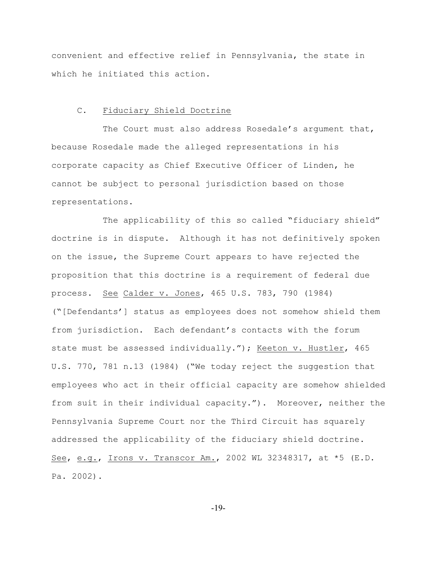convenient and effective relief in Pennsylvania, the state in which he initiated this action.

# C. Fiduciary Shield Doctrine

The Court must also address Rosedale's argument that, because Rosedale made the alleged representations in his corporate capacity as Chief Executive Officer of Linden, he cannot be subject to personal jurisdiction based on those representations.

The applicability of this so called "fiduciary shield" doctrine is in dispute. Although it has not definitively spoken on the issue, the Supreme Court appears to have rejected the proposition that this doctrine is a requirement of federal due process. See Calder v. Jones, 465 U.S. 783, 790 (1984) ("[Defendants'] status as employees does not somehow shield them from jurisdiction. Each defendant's contacts with the forum state must be assessed individually."); Keeton v. Hustler, 465 U.S. 770, 781 n.13 (1984) ("We today reject the suggestion that employees who act in their official capacity are somehow shielded from suit in their individual capacity."). Moreover, neither the Pennsylvania Supreme Court nor the Third Circuit has squarely addressed the applicability of the fiduciary shield doctrine. See, e.g., Irons v. Transcor Am., 2002 WL 32348317, at \*5 (E.D. Pa. 2002).

-19-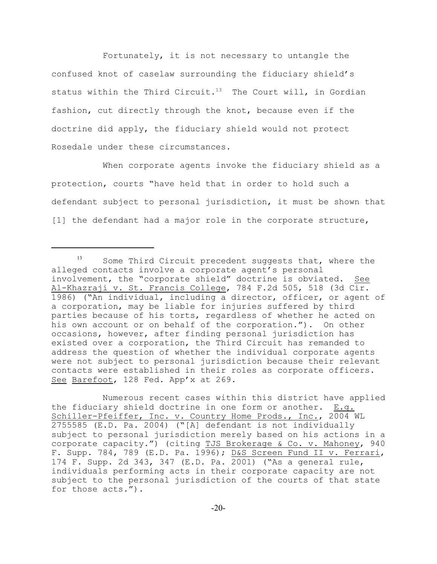Fortunately, it is not necessary to untangle the confused knot of caselaw surrounding the fiduciary shield's status within the Third Circuit.<sup>13</sup> The Court will, in Gordian fashion, cut directly through the knot, because even if the doctrine did apply, the fiduciary shield would not protect Rosedale under these circumstances.

When corporate agents invoke the fiduciary shield as a protection, courts "have held that in order to hold such a defendant subject to personal jurisdiction, it must be shown that [1] the defendant had a major role in the corporate structure,

Numerous recent cases within this district have applied the fiduciary shield doctrine in one form or another. E.g. Schiller-Pfeiffer, Inc. v. Country Home Prods., Inc., 2004 WL 2755585 (E.D. Pa. 2004) ("[A] defendant is not individually subject to personal jurisdiction merely based on his actions in a corporate capacity.") (citing TJS Brokerage & Co. v. Mahoney, 940 F. Supp. 784, 789 (E.D. Pa. 1996); D&S Screen Fund II v. Ferrari, 174 F. Supp. 2d 343, 347 (E.D. Pa. 2001) ("As a general rule, individuals performing acts in their corporate capacity are not subject to the personal jurisdiction of the courts of that state for those acts.").

 $13$  Some Third Circuit precedent suggests that, where the alleged contacts involve a corporate agent's personal involvement, the "corporate shield" doctrine is obviated. See Al-Khazraji v. St. Francis College, 784 F.2d 505, 518 (3d Cir. 1986) ("An individual, including a director, officer, or agent of a corporation, may be liable for injuries suffered by third parties because of his torts, regardless of whether he acted on his own account or on behalf of the corporation."). On other occasions, however, after finding personal jurisdiction has existed over a corporation, the Third Circuit has remanded to address the question of whether the individual corporate agents were not subject to personal jurisdiction because their relevant contacts were established in their roles as corporate officers. See Barefoot, 128 Fed. App'x at 269.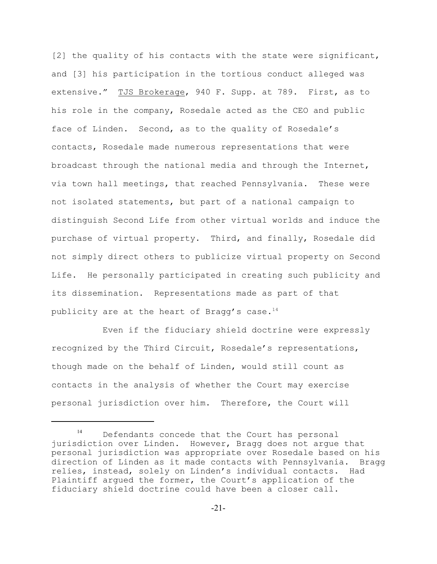[2] the quality of his contacts with the state were significant, and [3] his participation in the tortious conduct alleged was extensive." TJS Brokerage, 940 F. Supp. at 789. First, as to his role in the company, Rosedale acted as the CEO and public face of Linden. Second, as to the quality of Rosedale's contacts, Rosedale made numerous representations that were broadcast through the national media and through the Internet, via town hall meetings, that reached Pennsylvania. These were not isolated statements, but part of a national campaign to distinguish Second Life from other virtual worlds and induce the purchase of virtual property. Third, and finally, Rosedale did not simply direct others to publicize virtual property on Second Life. He personally participated in creating such publicity and its dissemination. Representations made as part of that publicity are at the heart of Bragg's case.<sup>14</sup>

Even if the fiduciary shield doctrine were expressly recognized by the Third Circuit, Rosedale's representations, though made on the behalf of Linden, would still count as contacts in the analysis of whether the Court may exercise personal jurisdiction over him. Therefore, the Court will

 $14$  Defendants concede that the Court has personal jurisdiction over Linden. However, Bragg does not argue that personal jurisdiction was appropriate over Rosedale based on his direction of Linden as it made contacts with Pennsylvania. Bragg relies, instead, solely on Linden's individual contacts. Had Plaintiff argued the former, the Court's application of the fiduciary shield doctrine could have been a closer call.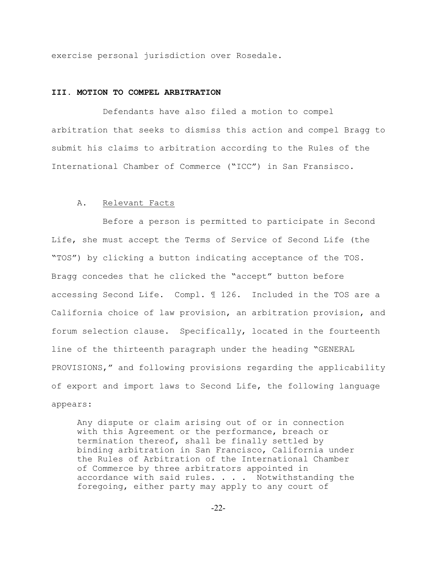exercise personal jurisdiction over Rosedale.

#### **III. MOTION TO COMPEL ARBITRATION**

Defendants have also filed a motion to compel arbitration that seeks to dismiss this action and compel Bragg to submit his claims to arbitration according to the Rules of the International Chamber of Commerce ("ICC") in San Fransisco.

#### A. Relevant Facts

Before a person is permitted to participate in Second Life, she must accept the Terms of Service of Second Life (the "TOS") by clicking a button indicating acceptance of the TOS. Bragg concedes that he clicked the "accept" button before accessing Second Life. Compl. ¶ 126. Included in the TOS are a California choice of law provision, an arbitration provision, and forum selection clause. Specifically, located in the fourteenth line of the thirteenth paragraph under the heading "GENERAL PROVISIONS," and following provisions regarding the applicability of export and import laws to Second Life, the following language appears:

Any dispute or claim arising out of or in connection with this Agreement or the performance, breach or termination thereof, shall be finally settled by binding arbitration in San Francisco, California under the Rules of Arbitration of the International Chamber of Commerce by three arbitrators appointed in accordance with said rules. . . . Notwithstanding the foregoing, either party may apply to any court of

-22-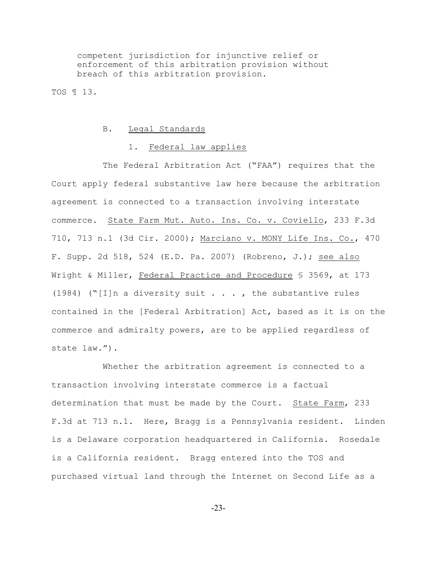competent jurisdiction for injunctive relief or enforcement of this arbitration provision without breach of this arbitration provision.

TOS ¶ 13.

#### B. Legal Standards

### 1. Federal law applies

The Federal Arbitration Act ("FAA") requires that the Court apply federal substantive law here because the arbitration agreement is connected to a transaction involving interstate commerce. State Farm Mut. Auto. Ins. Co. v. Coviello, 233 F.3d 710, 713 n.1 (3d Cir. 2000); Marciano v. MONY Life Ins. Co., 470 F. Supp. 2d 518, 524 (E.D. Pa. 2007) (Robreno, J.); see also Wright & Miller, Federal Practice and Procedure § 3569, at 173 (1984) ("[I]n a diversity suit  $\ldots$ , the substantive rules contained in the [Federal Arbitration] Act, based as it is on the commerce and admiralty powers, are to be applied regardless of state law.").

Whether the arbitration agreement is connected to a transaction involving interstate commerce is a factual determination that must be made by the Court. State Farm, 233 F.3d at 713 n.1. Here, Bragg is a Pennsylvania resident. Linden is a Delaware corporation headquartered in California. Rosedale is a California resident. Bragg entered into the TOS and purchased virtual land through the Internet on Second Life as a

-23-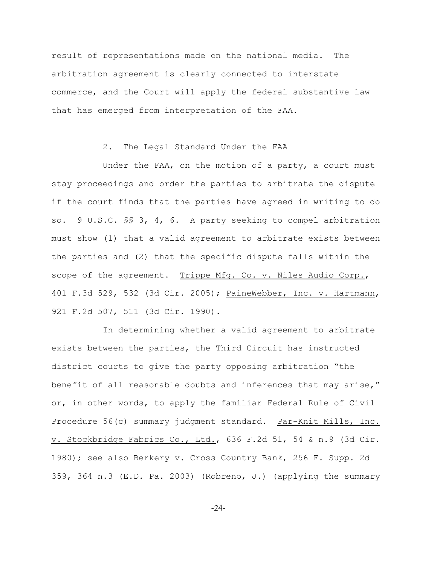result of representations made on the national media. The arbitration agreement is clearly connected to interstate commerce, and the Court will apply the federal substantive law that has emerged from interpretation of the FAA.

### 2. The Legal Standard Under the FAA

Under the FAA, on the motion of a party, a court must stay proceedings and order the parties to arbitrate the dispute if the court finds that the parties have agreed in writing to do so. 9 U.S.C. §§ 3, 4, 6. A party seeking to compel arbitration must show (1) that a valid agreement to arbitrate exists between the parties and (2) that the specific dispute falls within the scope of the agreement. Trippe Mfg. Co. v. Niles Audio Corp., 401 F.3d 529, 532 (3d Cir. 2005); PaineWebber, Inc. v. Hartmann, 921 F.2d 507, 511 (3d Cir. 1990).

In determining whether a valid agreement to arbitrate exists between the parties, the Third Circuit has instructed district courts to give the party opposing arbitration "the benefit of all reasonable doubts and inferences that may arise," or, in other words, to apply the familiar Federal Rule of Civil Procedure 56(c) summary judgment standard. Par-Knit Mills, Inc. v. Stockbridge Fabrics Co., Ltd., 636 F.2d 51, 54 & n.9 (3d Cir. 1980); see also Berkery v. Cross Country Bank, 256 F. Supp. 2d 359, 364 n.3 (E.D. Pa. 2003) (Robreno, J.) (applying the summary

-24-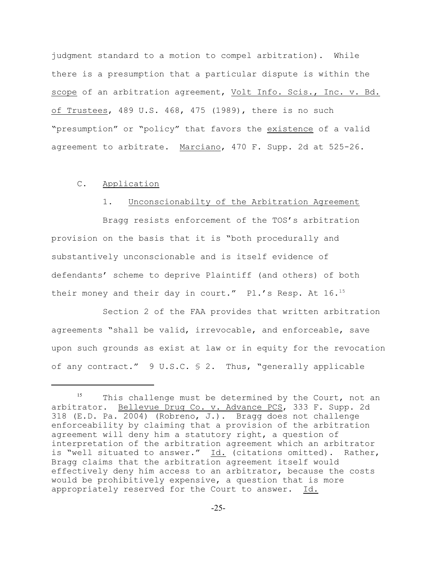judgment standard to a motion to compel arbitration). While there is a presumption that a particular dispute is within the scope of an arbitration agreement, Volt Info. Scis., Inc. v. Bd. of Trustees, 489 U.S. 468, 475 (1989), there is no such "presumption" or "policy" that favors the existence of a valid agreement to arbitrate. Marciano, 470 F. Supp. 2d at 525-26.

# C. Application

### 1. Unconscionabilty of the Arbitration Agreement

Bragg resists enforcement of the TOS's arbitration provision on the basis that it is "both procedurally and substantively unconscionable and is itself evidence of defendants' scheme to deprive Plaintiff (and others) of both their money and their day in court." Pl.'s Resp. At 16.<sup>15</sup>

Section 2 of the FAA provides that written arbitration agreements "shall be valid, irrevocable, and enforceable, save upon such grounds as exist at law or in equity for the revocation of any contract." 9 U.S.C. § 2. Thus, "generally applicable

 $15$  This challenge must be determined by the Court, not an arbitrator. Bellevue Drug Co. v. Advance PCS, 333 F. Supp. 2d 318 (E.D. Pa. 2004) (Robreno, J.). Bragg does not challenge enforceability by claiming that a provision of the arbitration agreement will deny him a statutory right, a question of interpretation of the arbitration agreement which an arbitrator is "well situated to answer." Id. (citations omitted). Rather, Bragg claims that the arbitration agreement itself would effectively deny him access to an arbitrator, because the costs would be prohibitively expensive, a question that is more appropriately reserved for the Court to answer. Id.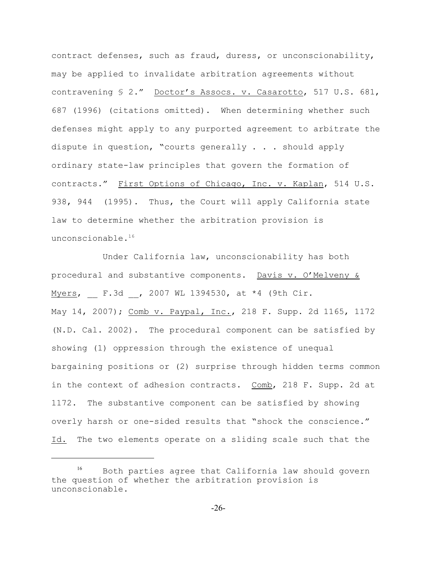contract defenses, such as fraud, duress, or unconscionability, may be applied to invalidate arbitration agreements without contravening § 2." Doctor's Assocs. v. Casarotto, 517 U.S. 681, 687 (1996) (citations omitted). When determining whether such defenses might apply to any purported agreement to arbitrate the dispute in question, "courts generally . . . should apply ordinary state-law principles that govern the formation of contracts." First Options of Chicago, Inc. v. Kaplan, 514 U.S. 938, 944 (1995). Thus, the Court will apply California state law to determine whether the arbitration provision is unconscionable.<sup>16</sup>

Under California law, unconscionability has both procedural and substantive components. Davis v. O'Melveny & Myers, F.3d , 2007 WL 1394530, at \*4 (9th Cir. May 14, 2007); Comb v. Paypal, Inc., 218 F. Supp. 2d 1165, 1172 (N.D. Cal. 2002). The procedural component can be satisfied by showing (1) oppression through the existence of unequal bargaining positions or (2) surprise through hidden terms common in the context of adhesion contracts. Comb, 218 F. Supp. 2d at 1172. The substantive component can be satisfied by showing overly harsh or one-sided results that "shock the conscience." Id. The two elements operate on a sliding scale such that the

 $^{16}$  Both parties agree that California law should govern the question of whether the arbitration provision is unconscionable.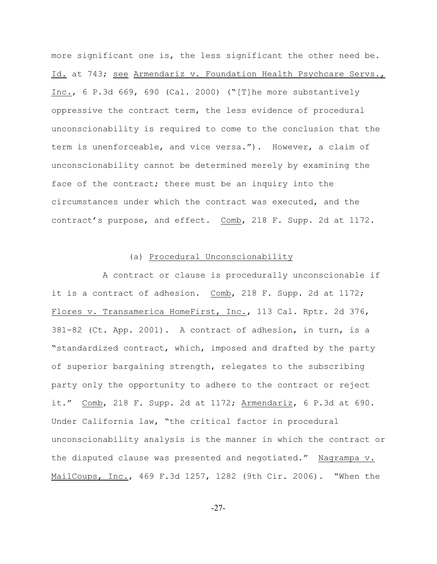more significant one is, the less significant the other need be. Id. at 743; see Armendariz v. Foundation Health Psychcare Servs., Inc., 6 P.3d 669, 690 (Cal. 2000) ("[T]he more substantively oppressive the contract term, the less evidence of procedural unconscionability is required to come to the conclusion that the term is unenforceable, and vice versa."). However, a claim of unconscionability cannot be determined merely by examining the face of the contract; there must be an inquiry into the circumstances under which the contract was executed, and the contract's purpose, and effect. Comb, 218 F. Supp. 2d at 1172.

# (a) Procedural Unconscionability

A contract or clause is procedurally unconscionable if it is a contract of adhesion. Comb, 218 F. Supp. 2d at 1172; Flores v. Transamerica HomeFirst, Inc., 113 Cal. Rptr. 2d 376, 381-82 (Ct. App. 2001). A contract of adhesion, in turn, is a "standardized contract, which, imposed and drafted by the party of superior bargaining strength, relegates to the subscribing party only the opportunity to adhere to the contract or reject it." Comb, 218 F. Supp. 2d at 1172; Armendariz, 6 P.3d at 690. Under California law, "the critical factor in procedural unconscionability analysis is the manner in which the contract or the disputed clause was presented and negotiated." Nagrampa v. MailCoups, Inc., 469 F.3d 1257, 1282 (9th Cir. 2006). "When the

-27-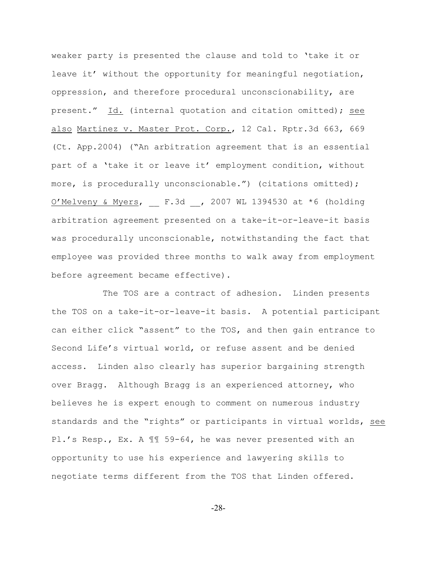weaker party is presented the clause and told to 'take it or leave it' without the opportunity for meaningful negotiation, oppression, and therefore procedural unconscionability, are present." Id. (internal quotation and citation omitted); see also Martinez v. Master Prot. Corp., 12 Cal. Rptr.3d 663, 669 (Ct. App.2004) ("An arbitration agreement that is an essential part of a 'take it or leave it' employment condition, without more, is procedurally unconscionable.") (citations omitted);  $O'Melveny & Myers,$  F.3d , 2007 WL 1394530 at \*6 (holding arbitration agreement presented on a take-it-or-leave-it basis was procedurally unconscionable, notwithstanding the fact that employee was provided three months to walk away from employment before agreement became effective).

The TOS are a contract of adhesion. Linden presents the TOS on a take-it-or-leave-it basis. A potential participant can either click "assent" to the TOS, and then gain entrance to Second Life's virtual world, or refuse assent and be denied access. Linden also clearly has superior bargaining strength over Bragg. Although Bragg is an experienced attorney, who believes he is expert enough to comment on numerous industry standards and the "rights" or participants in virtual worlds, see Pl.'s Resp., Ex. A ¶¶ 59-64, he was never presented with an opportunity to use his experience and lawyering skills to negotiate terms different from the TOS that Linden offered.

-28-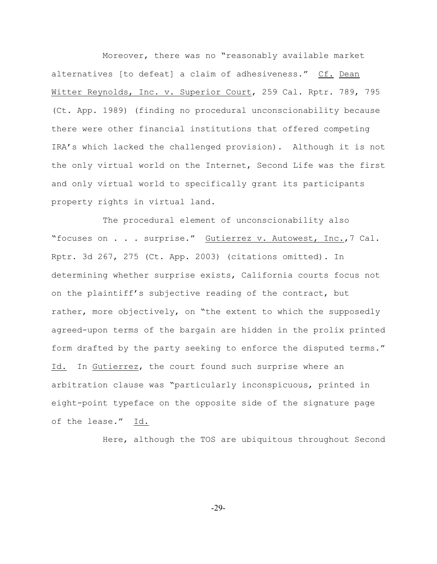Moreover, there was no "reasonably available market alternatives [to defeat] a claim of adhesiveness." Cf. Dean Witter Reynolds, Inc. v. Superior Court, 259 Cal. Rptr. 789, 795 (Ct. App. 1989) (finding no procedural unconscionability because there were other financial institutions that offered competing IRA's which lacked the challenged provision). Although it is not the only virtual world on the Internet, Second Life was the first and only virtual world to specifically grant its participants property rights in virtual land.

The procedural element of unconscionability also "focuses on . . . surprise." Gutierrez v. Autowest, Inc.,7 Cal. Rptr. 3d 267, 275 (Ct. App. 2003) (citations omitted). In determining whether surprise exists, California courts focus not on the plaintiff's subjective reading of the contract, but rather, more objectively, on "the extent to which the supposedly agreed-upon terms of the bargain are hidden in the prolix printed form drafted by the party seeking to enforce the disputed terms." Id. In Gutierrez, the court found such surprise where an arbitration clause was "particularly inconspicuous, printed in eight-point typeface on the opposite side of the signature page of the lease." Id.

Here, although the TOS are ubiquitous throughout Second

-29-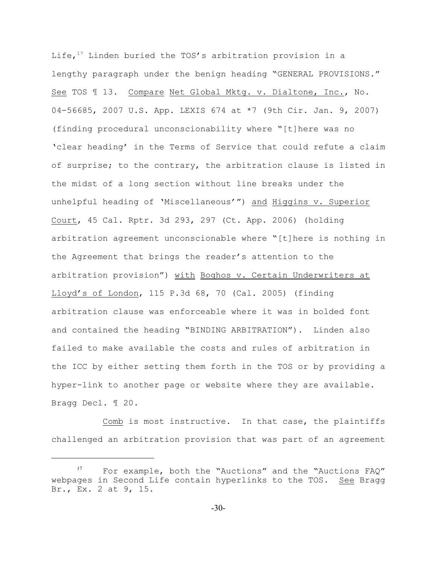Life,  $17$  Linden buried the TOS's arbitration provision in a lengthy paragraph under the benign heading "GENERAL PROVISIONS." See TOS ¶ 13. Compare Net Global Mktg. v. Dialtone, Inc., No. 04-56685, 2007 U.S. App. LEXIS 674 at \*7 (9th Cir. Jan. 9, 2007) (finding procedural unconscionability where "[t]here was no 'clear heading' in the Terms of Service that could refute a claim of surprise; to the contrary, the arbitration clause is listed in the midst of a long section without line breaks under the unhelpful heading of 'Miscellaneous'") and Higgins v. Superior Court, 45 Cal. Rptr. 3d 293, 297 (Ct. App. 2006) (holding arbitration agreement unconscionable where "[t]here is nothing in the Agreement that brings the reader's attention to the arbitration provision") with Boghos v. Certain Underwriters at Lloyd's of London, 115 P.3d 68, 70 (Cal. 2005) (finding arbitration clause was enforceable where it was in bolded font and contained the heading "BINDING ARBITRATION"). Linden also failed to make available the costs and rules of arbitration in the ICC by either setting them forth in the TOS or by providing a hyper-link to another page or website where they are available. Bragg Decl. ¶ 20.

Comb is most instructive. In that case, the plaintiffs challenged an arbitration provision that was part of an agreement

 $^{17}$  For example, both the "Auctions" and the "Auctions FAQ" webpages in Second Life contain hyperlinks to the TOS. See Bragg Br., Ex. 2 at 9, 15.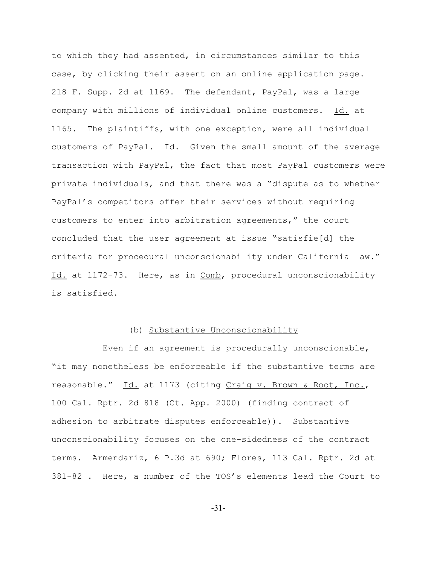to which they had assented, in circumstances similar to this case, by clicking their assent on an online application page. 218 F. Supp. 2d at 1169. The defendant, PayPal, was a large company with millions of individual online customers. Id. at 1165. The plaintiffs, with one exception, were all individual customers of PayPal. Id. Given the small amount of the average transaction with PayPal, the fact that most PayPal customers were private individuals, and that there was a "dispute as to whether PayPal's competitors offer their services without requiring customers to enter into arbitration agreements," the court concluded that the user agreement at issue "satisfie[d] the criteria for procedural unconscionability under California law." Id. at 1172-73. Here, as in Comb, procedural unconscionability is satisfied.

# (b) Substantive Unconscionability

Even if an agreement is procedurally unconscionable, "it may nonetheless be enforceable if the substantive terms are reasonable." Id. at 1173 (citing Craig v. Brown & Root, Inc., 100 Cal. Rptr. 2d 818 (Ct. App. 2000) (finding contract of adhesion to arbitrate disputes enforceable)). Substantive unconscionability focuses on the one-sidedness of the contract terms. Armendariz, 6 P.3d at 690; Flores, 113 Cal. Rptr. 2d at 381-82 . Here, a number of the TOS's elements lead the Court to

-31-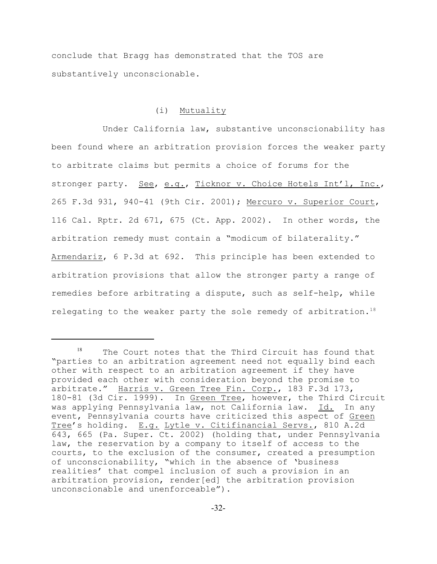conclude that Bragg has demonstrated that the TOS are substantively unconscionable.

## (i) Mutuality

Under California law, substantive unconscionability has been found where an arbitration provision forces the weaker party to arbitrate claims but permits a choice of forums for the stronger party. See, e.g., Ticknor v. Choice Hotels Int'l, Inc., 265 F.3d 931, 940-41 (9th Cir. 2001); Mercuro v. Superior Court, 116 Cal. Rptr. 2d 671, 675 (Ct. App. 2002). In other words, the arbitration remedy must contain a "modicum of bilaterality." Armendariz, 6 P.3d at 692. This principle has been extended to arbitration provisions that allow the stronger party a range of remedies before arbitrating a dispute, such as self-help, while relegating to the weaker party the sole remedy of arbitration.<sup>18</sup>

 $18$  The Court notes that the Third Circuit has found that "parties to an arbitration agreement need not equally bind each other with respect to an arbitration agreement if they have provided each other with consideration beyond the promise to arbitrate." Harris v. Green Tree Fin. Corp., 183 F.3d 173, 180-81 (3d Cir. 1999). In Green Tree, however, the Third Circuit was applying Pennsylvania law, not California law. Id. In any event, Pennsylvania courts have criticized this aspect of Green Tree's holding. E.g. Lytle v. Citifinancial Servs., 810 A.2d 643, 665 (Pa. Super. Ct. 2002) (holding that, under Pennsylvania law, the reservation by a company to itself of access to the courts, to the exclusion of the consumer, created a presumption of unconscionability, "which in the absence of 'business realities' that compel inclusion of such a provision in an arbitration provision, render[ed] the arbitration provision unconscionable and unenforceable").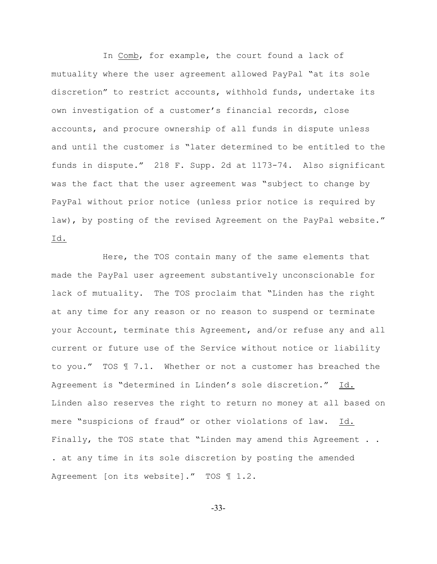In Comb, for example, the court found a lack of mutuality where the user agreement allowed PayPal "at its sole discretion" to restrict accounts, withhold funds, undertake its own investigation of a customer's financial records, close accounts, and procure ownership of all funds in dispute unless and until the customer is "later determined to be entitled to the funds in dispute." 218 F. Supp. 2d at 1173-74. Also significant was the fact that the user agreement was "subject to change by PayPal without prior notice (unless prior notice is required by law), by posting of the revised Agreement on the PayPal website." Id.

Here, the TOS contain many of the same elements that made the PayPal user agreement substantively unconscionable for lack of mutuality. The TOS proclaim that "Linden has the right at any time for any reason or no reason to suspend or terminate your Account, terminate this Agreement, and/or refuse any and all current or future use of the Service without notice or liability to you." TOS ¶ 7.1. Whether or not a customer has breached the Agreement is "determined in Linden's sole discretion." Id. Linden also reserves the right to return no money at all based on mere "suspicions of fraud" or other violations of law. Id. Finally, the TOS state that "Linden may amend this Agreement . . . at any time in its sole discretion by posting the amended Agreement [on its website]." TOS 1 1.2.

-33-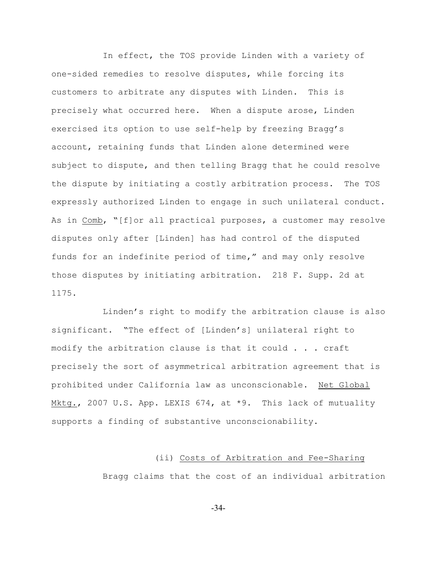In effect, the TOS provide Linden with a variety of one-sided remedies to resolve disputes, while forcing its customers to arbitrate any disputes with Linden. This is precisely what occurred here. When a dispute arose, Linden exercised its option to use self-help by freezing Bragg's account, retaining funds that Linden alone determined were subject to dispute, and then telling Bragg that he could resolve the dispute by initiating a costly arbitration process. The TOS expressly authorized Linden to engage in such unilateral conduct. As in Comb, "[f]or all practical purposes, a customer may resolve disputes only after [Linden] has had control of the disputed funds for an indefinite period of time," and may only resolve those disputes by initiating arbitration. 218 F. Supp. 2d at 1175.

Linden's right to modify the arbitration clause is also significant. "The effect of [Linden's] unilateral right to modify the arbitration clause is that it could . . . craft precisely the sort of asymmetrical arbitration agreement that is prohibited under California law as unconscionable. Net Global Mktg., 2007 U.S. App. LEXIS 674, at \*9. This lack of mutuality supports a finding of substantive unconscionability.

# (ii) Costs of Arbitration and Fee-Sharing

Bragg claims that the cost of an individual arbitration

-34-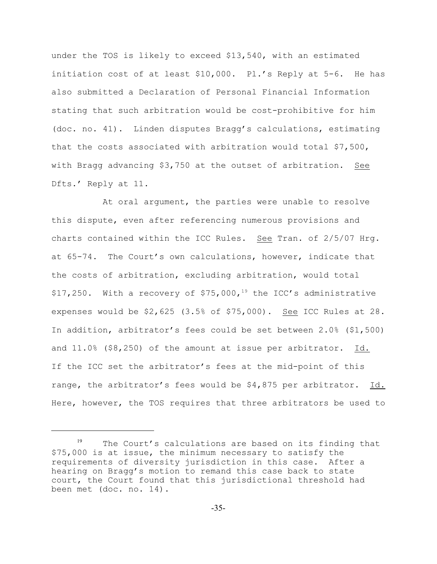under the TOS is likely to exceed \$13,540, with an estimated initiation cost of at least \$10,000. Pl.'s Reply at 5-6. He has also submitted a Declaration of Personal Financial Information stating that such arbitration would be cost-prohibitive for him (doc. no. 41). Linden disputes Bragg's calculations, estimating that the costs associated with arbitration would total \$7,500, with Bragg advancing \$3,750 at the outset of arbitration. See Dfts.' Reply at 11.

At oral argument, the parties were unable to resolve this dispute, even after referencing numerous provisions and charts contained within the ICC Rules. See Tran. of 2/5/07 Hrg. at 65-74. The Court's own calculations, however, indicate that the costs of arbitration, excluding arbitration, would total \$17,250. With a recovery of \$75,000,<sup>19</sup> the ICC's administrative expenses would be \$2,625 (3.5% of \$75,000). See ICC Rules at 28. In addition, arbitrator's fees could be set between 2.0% (\$1,500) and 11.0% (\$8,250) of the amount at issue per arbitrator. Id. If the ICC set the arbitrator's fees at the mid-point of this range, the arbitrator's fees would be \$4,875 per arbitrator. Id. Here, however, the TOS requires that three arbitrators be used to

 $19$  The Court's calculations are based on its finding that \$75,000 is at issue, the minimum necessary to satisfy the requirements of diversity jurisdiction in this case. After a hearing on Bragg's motion to remand this case back to state court, the Court found that this jurisdictional threshold had been met (doc. no. 14).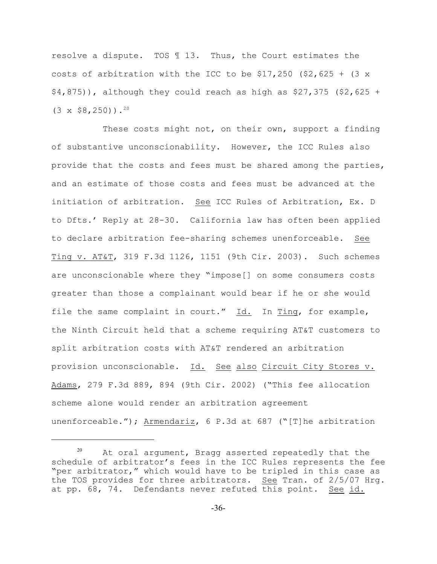resolve a dispute. TOS ¶ 13. Thus, the Court estimates the costs of arbitration with the ICC to be  $$17,250$  ( $$2,625 + (3 \times 1)$ \$4,875)), although they could reach as high as \$27,375 (\$2,625 +  $(3 \times $8,250)$ .<sup>20</sup>

These costs might not, on their own, support a finding of substantive unconscionability. However, the ICC Rules also provide that the costs and fees must be shared among the parties, and an estimate of those costs and fees must be advanced at the initiation of arbitration. See ICC Rules of Arbitration, Ex. D to Dfts.' Reply at 28-30. California law has often been applied to declare arbitration fee-sharing schemes unenforceable. See Ting v. AT&T, 319 F.3d 1126, 1151 (9th Cir. 2003). Such schemes are unconscionable where they "impose[] on some consumers costs greater than those a complainant would bear if he or she would file the same complaint in court." Id. In Ting, for example, the Ninth Circuit held that a scheme requiring AT&T customers to split arbitration costs with AT&T rendered an arbitration provision unconscionable. Id. See also Circuit City Stores v. Adams, 279 F.3d 889, 894 (9th Cir. 2002) ("This fee allocation scheme alone would render an arbitration agreement unenforceable."); Armendariz, 6 P.3d at 687 ("[T]he arbitration

 $20$  At oral argument, Bragg asserted repeatedly that the schedule of arbitrator's fees in the ICC Rules represents the fee "per arbitrator," which would have to be tripled in this case as the TOS provides for three arbitrators. See Tran. of 2/5/07 Hrg. at pp. 68, 74. Defendants never refuted this point. See id.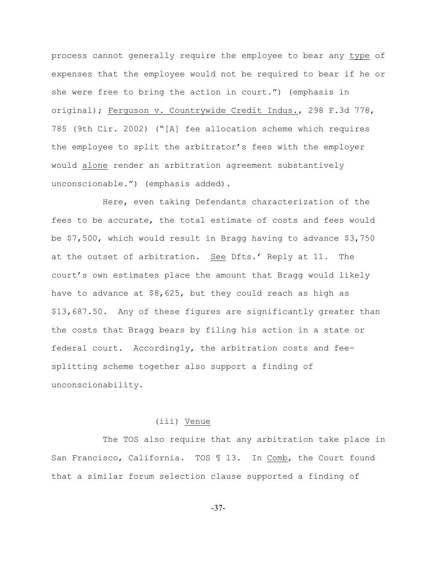process cannot generally require the employee to bear any type of expenses that the employee would not be required to bear if he or she were free to bring the action in court.") (emphasis in original); Ferguson v. Countrywide Credit Indus., 298 F.3d 778, 785 (9th Cir. 2002) ("[A] fee allocation scheme which requires the employee to split the arbitrator's fees with the employer would alone render an arbitration agreement substantively unconscionable.") (emphasis added).

Here, even taking Defendants characterization of the fees to be accurate, the total estimate of costs and fees would be \$7,500, which would result in Bragg having to advance \$3,750 at the outset of arbitration. See Dfts.' Reply at 11. The court's own estimates place the amount that Bragg would likely have to advance at \$8,625, but they could reach as high as \$13,687.50. Any of these figures are significantly greater than the costs that Bragg bears by filing his action in a state or federal court. Accordingly, the arbitration costs and feesplitting scheme together also support a finding of unconscionability.

### (iii) Venue

The TOS also require that any arbitration take place in San Francisco, California. TOS 113. In Comb, the Court found that a similar forum selection clause supported a finding of

-37-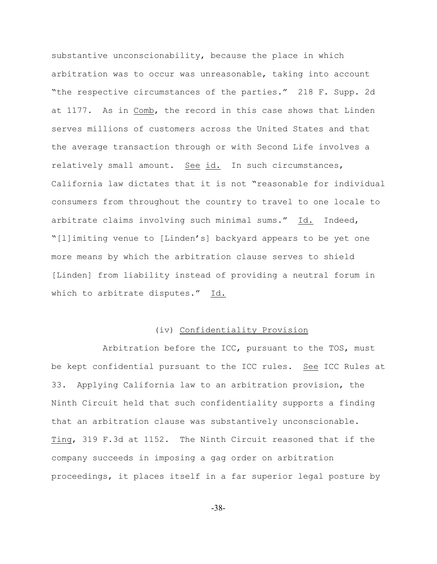substantive unconscionability, because the place in which arbitration was to occur was unreasonable, taking into account "the respective circumstances of the parties." 218 F. Supp. 2d at 1177. As in Comb, the record in this case shows that Linden serves millions of customers across the United States and that the average transaction through or with Second Life involves a relatively small amount. See id. In such circumstances, California law dictates that it is not "reasonable for individual consumers from throughout the country to travel to one locale to arbitrate claims involving such minimal sums." Id. Indeed, "[l]imiting venue to [Linden's] backyard appears to be yet one more means by which the arbitration clause serves to shield [Linden] from liability instead of providing a neutral forum in which to arbitrate disputes." Id.

# (iv) Confidentiality Provision

Arbitration before the ICC, pursuant to the TOS, must be kept confidential pursuant to the ICC rules. See ICC Rules at 33. Applying California law to an arbitration provision, the Ninth Circuit held that such confidentiality supports a finding that an arbitration clause was substantively unconscionable. Ting, 319 F.3d at 1152. The Ninth Circuit reasoned that if the company succeeds in imposing a gag order on arbitration proceedings, it places itself in a far superior legal posture by

-38-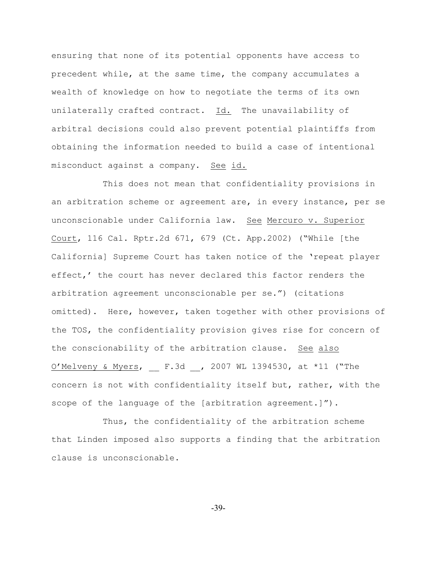ensuring that none of its potential opponents have access to precedent while, at the same time, the company accumulates a wealth of knowledge on how to negotiate the terms of its own unilaterally crafted contract. Id. The unavailability of arbitral decisions could also prevent potential plaintiffs from obtaining the information needed to build a case of intentional misconduct against a company. See id.

This does not mean that confidentiality provisions in an arbitration scheme or agreement are, in every instance, per se unconscionable under California law. See Mercuro v. Superior Court, 116 Cal. Rptr.2d 671, 679 (Ct. App.2002) ("While [the California] Supreme Court has taken notice of the 'repeat player effect,' the court has never declared this factor renders the arbitration agreement unconscionable per se.") (citations omitted). Here, however, taken together with other provisions of the TOS, the confidentiality provision gives rise for concern of the conscionability of the arbitration clause. See also O'Melveny & Myers, \_\_ F.3d \_\_, 2007 WL 1394530, at \*11 ("The concern is not with confidentiality itself but, rather, with the scope of the language of the [arbitration agreement.]").

Thus, the confidentiality of the arbitration scheme that Linden imposed also supports a finding that the arbitration clause is unconscionable.

-39-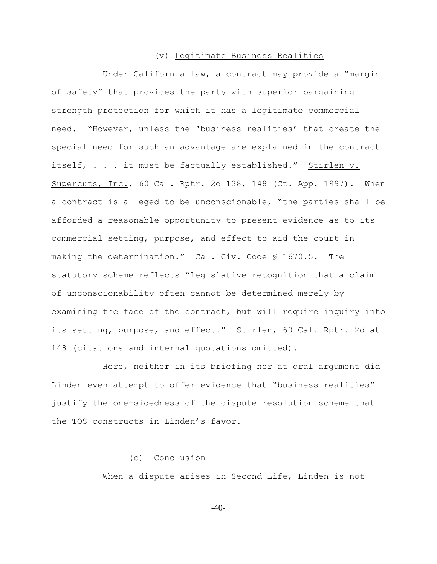#### (v) Legitimate Business Realities

Under California law, a contract may provide a "margin of safety" that provides the party with superior bargaining strength protection for which it has a legitimate commercial need. "However, unless the 'business realities' that create the special need for such an advantage are explained in the contract itself, . . . it must be factually established." Stirlen v. Supercuts, Inc., 60 Cal. Rptr. 2d 138, 148 (Ct. App. 1997). When a contract is alleged to be unconscionable, "the parties shall be afforded a reasonable opportunity to present evidence as to its commercial setting, purpose, and effect to aid the court in making the determination." Cal. Civ. Code § 1670.5. The statutory scheme reflects "legislative recognition that a claim of unconscionability often cannot be determined merely by examining the face of the contract, but will require inquiry into its setting, purpose, and effect." Stirlen, 60 Cal. Rptr. 2d at 148 (citations and internal quotations omitted).

Here, neither in its briefing nor at oral argument did Linden even attempt to offer evidence that "business realities" justify the one-sidedness of the dispute resolution scheme that the TOS constructs in Linden's favor.

# (c) Conclusion

When a dispute arises in Second Life, Linden is not

-40-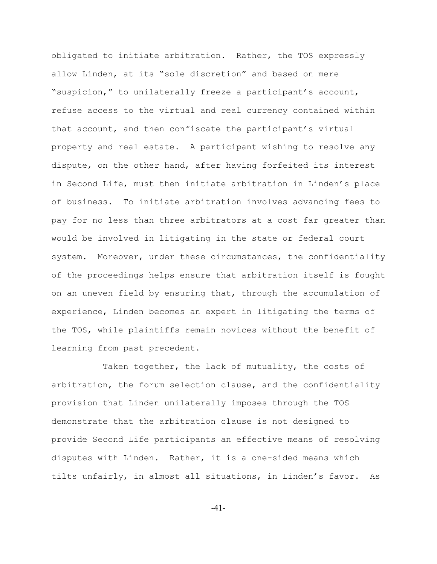obligated to initiate arbitration. Rather, the TOS expressly allow Linden, at its "sole discretion" and based on mere "suspicion," to unilaterally freeze a participant's account, refuse access to the virtual and real currency contained within that account, and then confiscate the participant's virtual property and real estate. A participant wishing to resolve any dispute, on the other hand, after having forfeited its interest in Second Life, must then initiate arbitration in Linden's place of business. To initiate arbitration involves advancing fees to pay for no less than three arbitrators at a cost far greater than would be involved in litigating in the state or federal court system. Moreover, under these circumstances, the confidentiality of the proceedings helps ensure that arbitration itself is fought on an uneven field by ensuring that, through the accumulation of experience, Linden becomes an expert in litigating the terms of the TOS, while plaintiffs remain novices without the benefit of learning from past precedent.

Taken together, the lack of mutuality, the costs of arbitration, the forum selection clause, and the confidentiality provision that Linden unilaterally imposes through the TOS demonstrate that the arbitration clause is not designed to provide Second Life participants an effective means of resolving disputes with Linden. Rather, it is a one-sided means which tilts unfairly, in almost all situations, in Linden's favor. As

-41-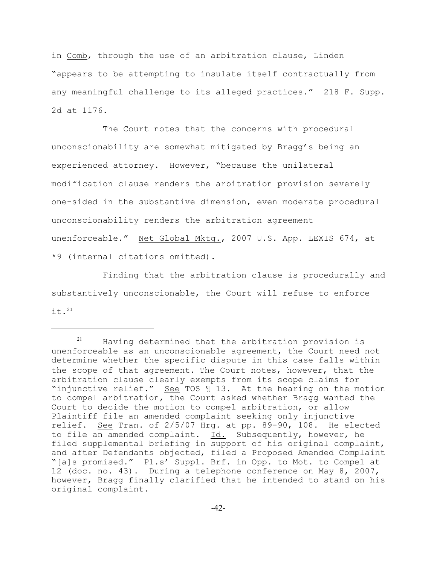in Comb, through the use of an arbitration clause, Linden "appears to be attempting to insulate itself contractually from any meaningful challenge to its alleged practices." 218 F. Supp. 2d at 1176.

The Court notes that the concerns with procedural unconscionability are somewhat mitigated by Bragg's being an experienced attorney. However, "because the unilateral modification clause renders the arbitration provision severely one-sided in the substantive dimension, even moderate procedural unconscionability renders the arbitration agreement unenforceable." Net Global Mktg., 2007 U.S. App. LEXIS 674, at \*9 (internal citations omitted).

Finding that the arbitration clause is procedurally and substantively unconscionable, the Court will refuse to enforce it. $^{21}$ 

 $21$  Having determined that the arbitration provision is unenforceable as an unconscionable agreement, the Court need not determine whether the specific dispute in this case falls within the scope of that agreement. The Court notes, however, that the arbitration clause clearly exempts from its scope claims for "injunctive relief." See TOS ¶ 13. At the hearing on the motion to compel arbitration, the Court asked whether Bragg wanted the Court to decide the motion to compel arbitration, or allow Plaintiff file an amended complaint seeking only injunctive relief. See Tran. of 2/5/07 Hrg. at pp. 89-90, 108. He elected to file an amended complaint. Id. Subsequently, however, he filed supplemental briefing in support of his original complaint, and after Defendants objected, filed a Proposed Amended Complaint "[a]s promised." Pl.s' Suppl. Brf. in Opp. to Mot. to Compel at 12 (doc. no. 43). During a telephone conference on May 8, 2007, however, Bragg finally clarified that he intended to stand on his original complaint.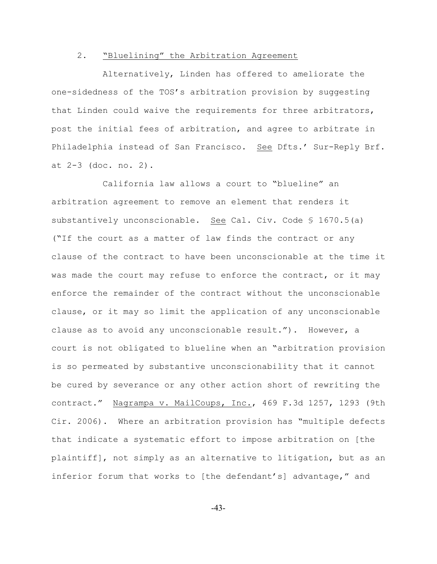### 2. "Bluelining" the Arbitration Agreement

Alternatively, Linden has offered to ameliorate the one-sidedness of the TOS's arbitration provision by suggesting that Linden could waive the requirements for three arbitrators, post the initial fees of arbitration, and agree to arbitrate in Philadelphia instead of San Francisco. See Dfts.' Sur-Reply Brf. at 2-3 (doc. no. 2).

California law allows a court to "blueline" an arbitration agreement to remove an element that renders it substantively unconscionable. See Cal. Civ. Code § 1670.5(a) ("If the court as a matter of law finds the contract or any clause of the contract to have been unconscionable at the time it was made the court may refuse to enforce the contract, or it may enforce the remainder of the contract without the unconscionable clause, or it may so limit the application of any unconscionable clause as to avoid any unconscionable result."). However, a court is not obligated to blueline when an "arbitration provision is so permeated by substantive unconscionability that it cannot be cured by severance or any other action short of rewriting the contract." Nagrampa v. MailCoups, Inc., 469 F.3d 1257, 1293 (9th Cir. 2006). Where an arbitration provision has "multiple defects that indicate a systematic effort to impose arbitration on [the plaintiff], not simply as an alternative to litigation, but as an inferior forum that works to [the defendant's] advantage," and

-43-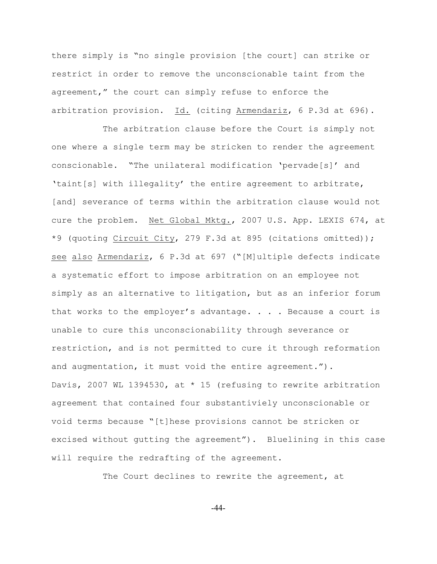there simply is "no single provision [the court] can strike or restrict in order to remove the unconscionable taint from the agreement," the court can simply refuse to enforce the arbitration provision. Id. (citing Armendariz, 6 P.3d at 696).

The arbitration clause before the Court is simply not one where a single term may be stricken to render the agreement conscionable. "The unilateral modification 'pervade[s]' and 'taint[s] with illegality' the entire agreement to arbitrate, [and] severance of terms within the arbitration clause would not cure the problem. Net Global Mktg., 2007 U.S. App. LEXIS 674, at \*9 (quoting Circuit City, 279 F.3d at 895 (citations omitted)); see also Armendariz, 6 P.3d at 697 ("[M]ultiple defects indicate a systematic effort to impose arbitration on an employee not simply as an alternative to litigation, but as an inferior forum that works to the employer's advantage.  $\ldots$ . Because a court is unable to cure this unconscionability through severance or restriction, and is not permitted to cure it through reformation and augmentation, it must void the entire agreement."). Davis, 2007 WL 1394530, at \* 15 (refusing to rewrite arbitration agreement that contained four substantiviely unconscionable or void terms because "[t]hese provisions cannot be stricken or excised without gutting the agreement"). Bluelining in this case will require the redrafting of the agreement.

The Court declines to rewrite the agreement, at

-44-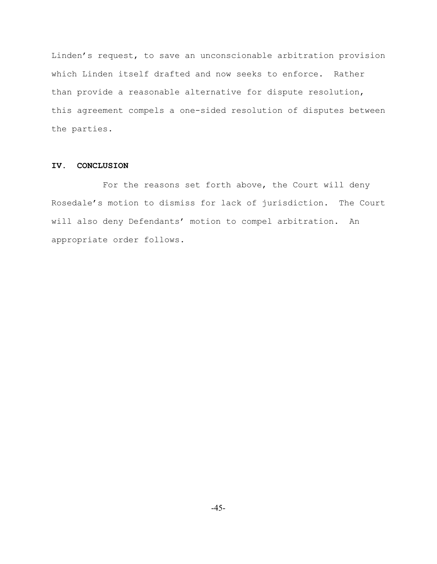Linden's request, to save an unconscionable arbitration provision which Linden itself drafted and now seeks to enforce. Rather than provide a reasonable alternative for dispute resolution, this agreement compels a one-sided resolution of disputes between the parties.

### **IV. CONCLUSION**

For the reasons set forth above, the Court will deny Rosedale's motion to dismiss for lack of jurisdiction. The Court will also deny Defendants' motion to compel arbitration. An appropriate order follows.